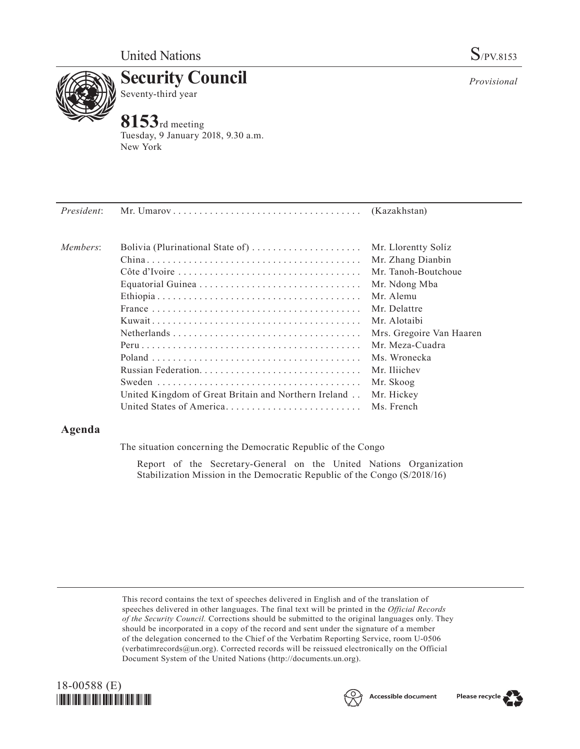

**Security Council** Seventy-third year

# **8153**rd meeting

Tuesday, 9 January 2018, 9.30 a.m. New York

| President: |                                  |                          |
|------------|----------------------------------|--------------------------|
| Members:   | Bolivia (Plurinational State of) | Mr. Llorentty Solíz      |
|            |                                  | Mr. Zhang Dianbin        |
|            |                                  | Mr. Tanoh-Boutchoue      |
|            |                                  | Mr. Ndong Mba            |
|            |                                  | Mr. Alemu                |
|            |                                  | Mr. Delattre             |
|            |                                  | Mr. Alotaibi             |
|            |                                  | Mrs. Gregoire Van Haaren |
|            |                                  | Mr. Meza-Cuadra          |
|            |                                  | Ms. Wronecka             |
|            |                                  |                          |

Russian Federation. . Mr. Iliichev Sweden. . Mr. Skoog United Kingdom of Great Britain and Northern Ireland. . Mr. Hickey United States of America. . Ms. French

## **Agenda**

The situation concerning the Democratic Republic of the Congo

Report of the Secretary-General on the United Nations Organization Stabilization Mission in the Democratic Republic of the Congo (S/2018/16)

This record contains the text of speeches delivered in English and of the translation of speeches delivered in other languages. The final text will be printed in the *Official Records of the Security Council.* Corrections should be submitted to the original languages only. They should be incorporated in a copy of the record and sent under the signature of a member of the delegation concerned to the Chief of the Verbatim Reporting Service, room U-0506 (verbatimrecords $@un.org$ ). Corrected records will be reissued electronically on the Official Document System of the United Nations [\(http://documents.un.org\)](http://documents.un.org).





*Provisional*

Please recycle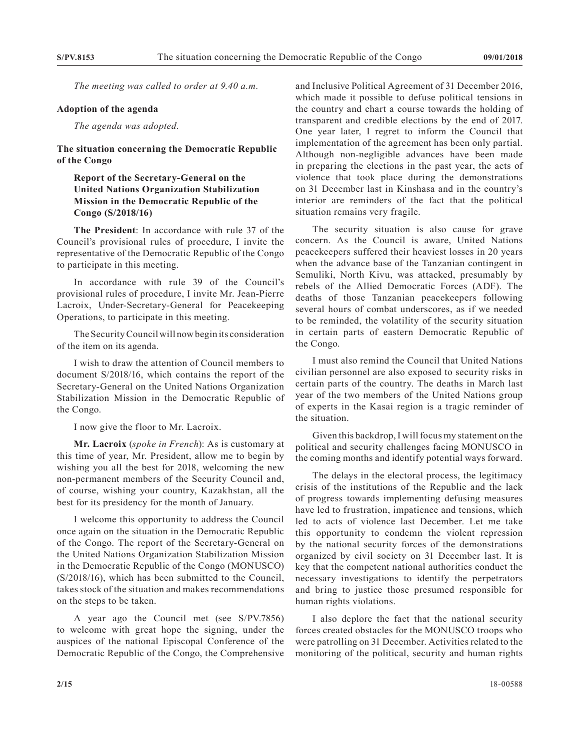*The meeting was called to order at 9.40 a.m.*

#### **Adoption of the agenda**

*The agenda was adopted.*

#### **The situation concerning the Democratic Republic of the Congo**

### **Report of the Secretary-General on the United Nations Organization Stabilization Mission in the Democratic Republic of the Congo (S/2018/16)**

**The President**: In accordance with rule 37 of the Council's provisional rules of procedure, I invite the representative of the Democratic Republic of the Congo to participate in this meeting.

In accordance with rule 39 of the Council's provisional rules of procedure, I invite Mr. Jean-Pierre Lacroix, Under-Secretary-General for Peacekeeping Operations, to participate in this meeting.

The Security Council will now begin its consideration of the item on its agenda.

I wish to draw the attention of Council members to document S/2018/16, which contains the report of the Secretary-General on the United Nations Organization Stabilization Mission in the Democratic Republic of the Congo.

I now give the floor to Mr. Lacroix.

**Mr. Lacroix** (*spoke in French*): As is customary at this time of year, Mr. President, allow me to begin by wishing you all the best for 2018, welcoming the new non-permanent members of the Security Council and, of course, wishing your country, Kazakhstan, all the best for its presidency for the month of January.

I welcome this opportunity to address the Council once again on the situation in the Democratic Republic of the Congo. The report of the Secretary-General on the United Nations Organization Stabilization Mission in the Democratic Republic of the Congo (MONUSCO) (S/2018/16), which has been submitted to the Council, takes stock of the situation and makes recommendations on the steps to be taken.

A year ago the Council met (see S/PV.7856) to welcome with great hope the signing, under the auspices of the national Episcopal Conference of the Democratic Republic of the Congo, the Comprehensive

and Inclusive Political Agreement of 31 December 2016, which made it possible to defuse political tensions in the country and chart a course towards the holding of transparent and credible elections by the end of 2017. One year later, I regret to inform the Council that implementation of the agreement has been only partial. Although non-negligible advances have been made in preparing the elections in the past year, the acts of violence that took place during the demonstrations on 31 December last in Kinshasa and in the country's interior are reminders of the fact that the political situation remains very fragile.

The security situation is also cause for grave concern. As the Council is aware, United Nations peacekeepers suffered their heaviest losses in 20 years when the advance base of the Tanzanian contingent in Semuliki, North Kivu, was attacked, presumably by rebels of the Allied Democratic Forces (ADF). The deaths of those Tanzanian peacekeepers following several hours of combat underscores, as if we needed to be reminded, the volatility of the security situation in certain parts of eastern Democratic Republic of the Congo.

I must also remind the Council that United Nations civilian personnel are also exposed to security risks in certain parts of the country. The deaths in March last year of the two members of the United Nations group of experts in the Kasai region is a tragic reminder of the situation.

Given this backdrop, I will focus my statement on the political and security challenges facing MONUSCO in the coming months and identify potential ways forward.

The delays in the electoral process, the legitimacy crisis of the institutions of the Republic and the lack of progress towards implementing defusing measures have led to frustration, impatience and tensions, which led to acts of violence last December. Let me take this opportunity to condemn the violent repression by the national security forces of the demonstrations organized by civil society on 31 December last. It is key that the competent national authorities conduct the necessary investigations to identify the perpetrators and bring to justice those presumed responsible for human rights violations.

I also deplore the fact that the national security forces created obstacles for the MONUSCO troops who were patrolling on 31 December. Activities related to the monitoring of the political, security and human rights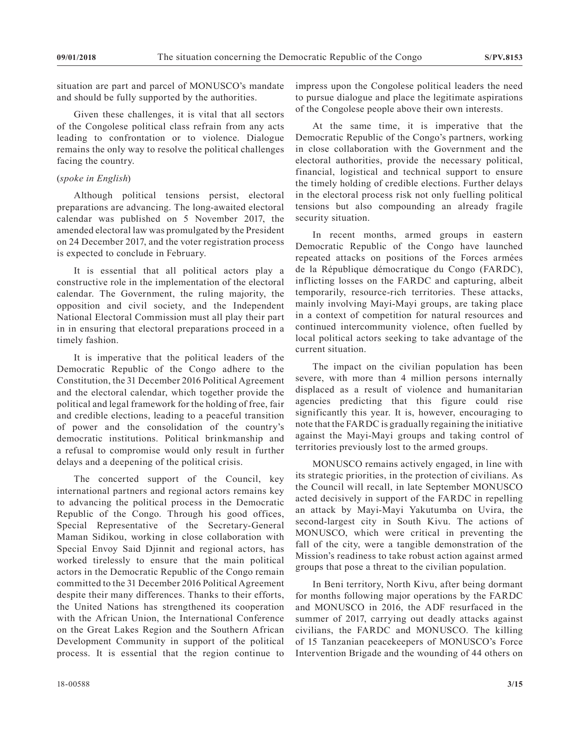situation are part and parcel of MONUSCO's mandate and should be fully supported by the authorities.

Given these challenges, it is vital that all sectors of the Congolese political class refrain from any acts leading to confrontation or to violence. Dialogue remains the only way to resolve the political challenges facing the country.

#### (*spoke in English*)

Although political tensions persist, electoral preparations are advancing. The long-awaited electoral calendar was published on 5 November 2017, the amended electoral law was promulgated by the President on 24 December 2017, and the voter registration process is expected to conclude in February.

It is essential that all political actors play a constructive role in the implementation of the electoral calendar. The Government, the ruling majority, the opposition and civil society, and the Independent National Electoral Commission must all play their part in in ensuring that electoral preparations proceed in a timely fashion.

It is imperative that the political leaders of the Democratic Republic of the Congo adhere to the Constitution, the 31 December 2016 Political Agreement and the electoral calendar, which together provide the political and legal framework for the holding of free, fair and credible elections, leading to a peaceful transition of power and the consolidation of the country's democratic institutions. Political brinkmanship and a refusal to compromise would only result in further delays and a deepening of the political crisis.

The concerted support of the Council, key international partners and regional actors remains key to advancing the political process in the Democratic Republic of the Congo. Through his good offices, Special Representative of the Secretary-General Maman Sidikou, working in close collaboration with Special Envoy Said Djinnit and regional actors, has worked tirelessly to ensure that the main political actors in the Democratic Republic of the Congo remain committed to the 31 December 2016 Political Agreement despite their many differences. Thanks to their efforts, the United Nations has strengthened its cooperation with the African Union, the International Conference on the Great Lakes Region and the Southern African Development Community in support of the political process. It is essential that the region continue to

At the same time, it is imperative that the Democratic Republic of the Congo's partners, working in close collaboration with the Government and the electoral authorities, provide the necessary political, financial, logistical and technical support to ensure the timely holding of credible elections. Further delays in the electoral process risk not only fuelling political tensions but also compounding an already fragile security situation.

In recent months, armed groups in eastern Democratic Republic of the Congo have launched repeated attacks on positions of the Forces armées de la République démocratique du Congo (FARDC), inflicting losses on the FARDC and capturing, albeit temporarily, resource-rich territories. These attacks, mainly involving Mayi-Mayi groups, are taking place in a context of competition for natural resources and continued intercommunity violence, often fuelled by local political actors seeking to take advantage of the current situation.

The impact on the civilian population has been severe, with more than 4 million persons internally displaced as a result of violence and humanitarian agencies predicting that this figure could rise significantly this year. It is, however, encouraging to note that the FARDC is gradually regaining the initiative against the Mayi-Mayi groups and taking control of territories previously lost to the armed groups.

MONUSCO remains actively engaged, in line with its strategic priorities, in the protection of civilians. As the Council will recall, in late September MONUSCO acted decisively in support of the FARDC in repelling an attack by Mayi-Mayi Yakutumba on Uvira, the second-largest city in South Kivu. The actions of MONUSCO, which were critical in preventing the fall of the city, were a tangible demonstration of the Mission's readiness to take robust action against armed groups that pose a threat to the civilian population.

In Beni territory, North Kivu, after being dormant for months following major operations by the FARDC and MONUSCO in 2016, the ADF resurfaced in the summer of 2017, carrying out deadly attacks against civilians, the FARDC and MONUSCO. The killing of 15 Tanzanian peacekeepers of MONUSCO's Force Intervention Brigade and the wounding of 44 others on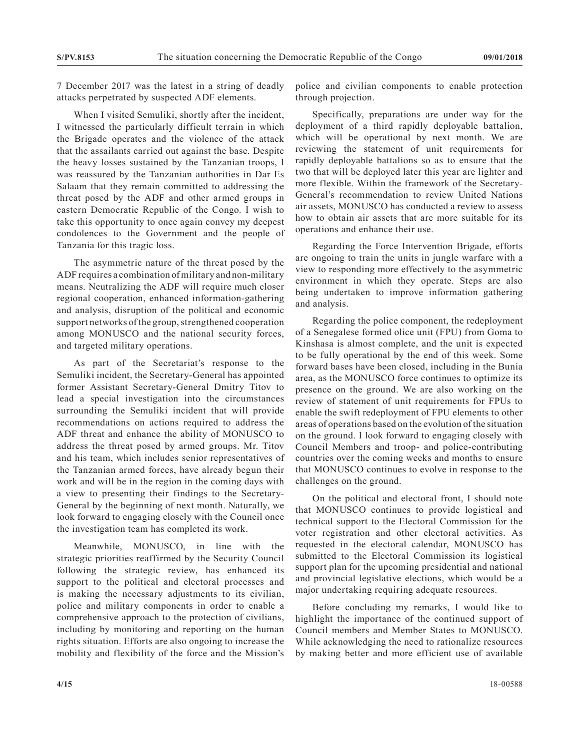7 December 2017 was the latest in a string of deadly attacks perpetrated by suspected ADF elements.

When I visited Semuliki, shortly after the incident, I witnessed the particularly difficult terrain in which the Brigade operates and the violence of the attack that the assailants carried out against the base. Despite the heavy losses sustained by the Tanzanian troops, I was reassured by the Tanzanian authorities in Dar Es Salaam that they remain committed to addressing the threat posed by the ADF and other armed groups in eastern Democratic Republic of the Congo. I wish to take this opportunity to once again convey my deepest condolences to the Government and the people of Tanzania for this tragic loss.

The asymmetric nature of the threat posed by the ADF requires a combination of military and non-military means. Neutralizing the ADF will require much closer regional cooperation, enhanced information-gathering and analysis, disruption of the political and economic support networks of the group, strengthened cooperation among MONUSCO and the national security forces, and targeted military operations.

As part of the Secretariat's response to the Semuliki incident, the Secretary-General has appointed former Assistant Secretary-General Dmitry Titov to lead a special investigation into the circumstances surrounding the Semuliki incident that will provide recommendations on actions required to address the ADF threat and enhance the ability of MONUSCO to address the threat posed by armed groups. Mr. Titov and his team, which includes senior representatives of the Tanzanian armed forces, have already begun their work and will be in the region in the coming days with a view to presenting their findings to the Secretary-General by the beginning of next month. Naturally, we look forward to engaging closely with the Council once the investigation team has completed its work.

Meanwhile, MONUSCO, in line with the strategic priorities reaffirmed by the Security Council following the strategic review, has enhanced its support to the political and electoral processes and is making the necessary adjustments to its civilian, police and military components in order to enable a comprehensive approach to the protection of civilians, including by monitoring and reporting on the human rights situation. Efforts are also ongoing to increase the mobility and flexibility of the force and the Mission's

police and civilian components to enable protection through projection.

Specifically, preparations are under way for the deployment of a third rapidly deployable battalion, which will be operational by next month. We are reviewing the statement of unit requirements for rapidly deployable battalions so as to ensure that the two that will be deployed later this year are lighter and more flexible. Within the framework of the Secretary-General's recommendation to review United Nations air assets, MONUSCO has conducted a review to assess how to obtain air assets that are more suitable for its operations and enhance their use.

Regarding the Force Intervention Brigade, efforts are ongoing to train the units in jungle warfare with a view to responding more effectively to the asymmetric environment in which they operate. Steps are also being undertaken to improve information gathering and analysis.

Regarding the police component, the redeployment of a Senegalese formed olice unit (FPU) from Goma to Kinshasa is almost complete, and the unit is expected to be fully operational by the end of this week. Some forward bases have been closed, including in the Bunia area, as the MONUSCO force continues to optimize its presence on the ground. We are also working on the review of statement of unit requirements for FPUs to enable the swift redeployment of FPU elements to other areas of operations based on the evolution of the situation on the ground. I look forward to engaging closely with Council Members and troop- and police-contributing countries over the coming weeks and months to ensure that MONUSCO continues to evolve in response to the challenges on the ground.

On the political and electoral front, I should note that MONUSCO continues to provide logistical and technical support to the Electoral Commission for the voter registration and other electoral activities. As requested in the electoral calendar, MONUSCO has submitted to the Electoral Commission its logistical support plan for the upcoming presidential and national and provincial legislative elections, which would be a major undertaking requiring adequate resources.

Before concluding my remarks, I would like to highlight the importance of the continued support of Council members and Member States to MONUSCO. While acknowledging the need to rationalize resources by making better and more efficient use of available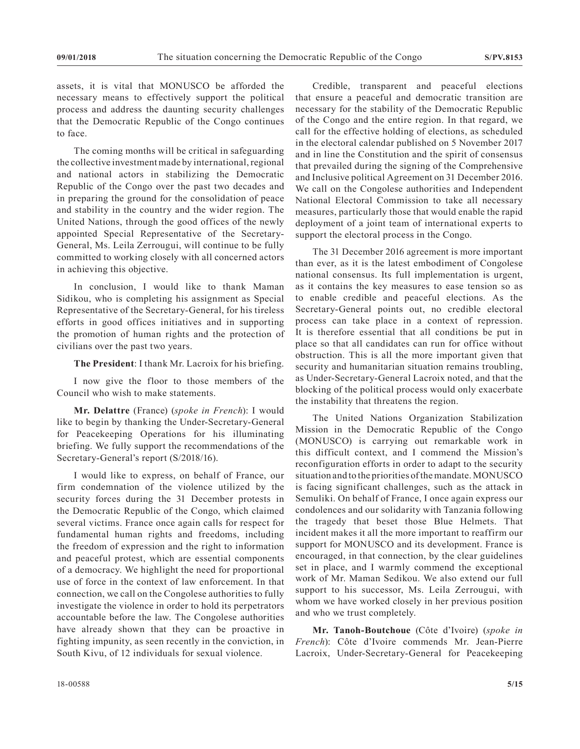assets, it is vital that MONUSCO be afforded the necessary means to effectively support the political process and address the daunting security challenges that the Democratic Republic of the Congo continues to face.

The coming months will be critical in safeguarding the collective investment made by international, regional and national actors in stabilizing the Democratic Republic of the Congo over the past two decades and in preparing the ground for the consolidation of peace and stability in the country and the wider region. The United Nations, through the good offices of the newly appointed Special Representative of the Secretary-General, Ms. Leila Zerrougui, will continue to be fully committed to working closely with all concerned actors in achieving this objective.

In conclusion, I would like to thank Maman Sidikou, who is completing his assignment as Special Representative of the Secretary-General, for his tireless efforts in good offices initiatives and in supporting the promotion of human rights and the protection of civilians over the past two years.

**The President**: I thank Mr. Lacroix for his briefing.

I now give the floor to those members of the Council who wish to make statements.

**Mr. Delattre** (France) (*spoke in French*): I would like to begin by thanking the Under-Secretary-General for Peacekeeping Operations for his illuminating briefing. We fully support the recommendations of the Secretary-General's report (S/2018/16).

I would like to express, on behalf of France, our firm condemnation of the violence utilized by the security forces during the 31 December protests in the Democratic Republic of the Congo, which claimed several victims. France once again calls for respect for fundamental human rights and freedoms, including the freedom of expression and the right to information and peaceful protest, which are essential components of a democracy. We highlight the need for proportional use of force in the context of law enforcement. In that connection, we call on the Congolese authorities to fully investigate the violence in order to hold its perpetrators accountable before the law. The Congolese authorities have already shown that they can be proactive in fighting impunity, as seen recently in the conviction, in South Kivu, of 12 individuals for sexual violence.

Credible, transparent and peaceful elections that ensure a peaceful and democratic transition are necessary for the stability of the Democratic Republic of the Congo and the entire region. In that regard, we call for the effective holding of elections, as scheduled in the electoral calendar published on 5 November 2017 and in line the Constitution and the spirit of consensus that prevailed during the signing of the Comprehensive and Inclusive political Agreement on 31 December 2016. We call on the Congolese authorities and Independent National Electoral Commission to take all necessary measures, particularly those that would enable the rapid deployment of a joint team of international experts to support the electoral process in the Congo.

The 31 December 2016 agreement is more important than ever, as it is the latest embodiment of Congolese national consensus. Its full implementation is urgent, as it contains the key measures to ease tension so as to enable credible and peaceful elections. As the Secretary-General points out, no credible electoral process can take place in a context of repression. It is therefore essential that all conditions be put in place so that all candidates can run for office without obstruction. This is all the more important given that security and humanitarian situation remains troubling, as Under-Secretary-General Lacroix noted, and that the blocking of the political process would only exacerbate the instability that threatens the region.

The United Nations Organization Stabilization Mission in the Democratic Republic of the Congo (MONUSCO) is carrying out remarkable work in this difficult context, and I commend the Mission's reconfiguration efforts in order to adapt to the security situation and to the priorities of the mandate. MONUSCO is facing significant challenges, such as the attack in Semuliki. On behalf of France, I once again express our condolences and our solidarity with Tanzania following the tragedy that beset those Blue Helmets. That incident makes it all the more important to reaffirm our support for MONUSCO and its development. France is encouraged, in that connection, by the clear guidelines set in place, and I warmly commend the exceptional work of Mr. Maman Sedikou. We also extend our full support to his successor, Ms. Leila Zerrougui, with whom we have worked closely in her previous position and who we trust completely.

**Mr. Tanoh-Boutchoue** (Côte d'Ivoire) (*spoke in French*): Côte d'Ivoire commends Mr. Jean-Pierre Lacroix, Under-Secretary-General for Peacekeeping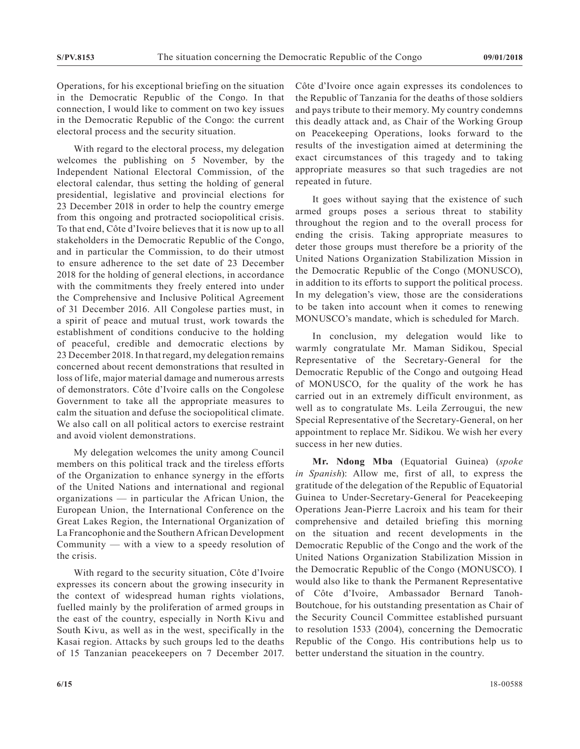Operations, for his exceptional briefing on the situation in the Democratic Republic of the Congo. In that connection, I would like to comment on two key issues in the Democratic Republic of the Congo: the current electoral process and the security situation.

With regard to the electoral process, my delegation welcomes the publishing on 5 November, by the Independent National Electoral Commission, of the electoral calendar, thus setting the holding of general presidential, legislative and provincial elections for 23 December 2018 in order to help the country emerge from this ongoing and protracted sociopolitical crisis. To that end, Côte d'Ivoire believes that it is now up to all stakeholders in the Democratic Republic of the Congo, and in particular the Commission, to do their utmost to ensure adherence to the set date of 23 December 2018 for the holding of general elections, in accordance with the commitments they freely entered into under the Comprehensive and Inclusive Political Agreement of 31 December 2016. All Congolese parties must, in a spirit of peace and mutual trust, work towards the establishment of conditions conducive to the holding of peaceful, credible and democratic elections by 23 December 2018. In that regard, my delegation remains concerned about recent demonstrations that resulted in loss of life, major material damage and numerous arrests of demonstrators. Côte d'Ivoire calls on the Congolese Government to take all the appropriate measures to calm the situation and defuse the sociopolitical climate. We also call on all political actors to exercise restraint and avoid violent demonstrations.

My delegation welcomes the unity among Council members on this political track and the tireless efforts of the Organization to enhance synergy in the efforts of the United Nations and international and regional organizations — in particular the African Union, the European Union, the International Conference on the Great Lakes Region, the International Organization of La Francophonie and the Southern African Development Community — with a view to a speedy resolution of the crisis.

With regard to the security situation, Côte d'Ivoire expresses its concern about the growing insecurity in the context of widespread human rights violations, fuelled mainly by the proliferation of armed groups in the east of the country, especially in North Kivu and South Kivu, as well as in the west, specifically in the Kasai region. Attacks by such groups led to the deaths of 15 Tanzanian peacekeepers on 7 December 2017. Côte d'Ivoire once again expresses its condolences to the Republic of Tanzania for the deaths of those soldiers and pays tribute to their memory. My country condemns this deadly attack and, as Chair of the Working Group on Peacekeeping Operations, looks forward to the results of the investigation aimed at determining the exact circumstances of this tragedy and to taking appropriate measures so that such tragedies are not repeated in future.

It goes without saying that the existence of such armed groups poses a serious threat to stability throughout the region and to the overall process for ending the crisis. Taking appropriate measures to deter those groups must therefore be a priority of the United Nations Organization Stabilization Mission in the Democratic Republic of the Congo (MONUSCO), in addition to its efforts to support the political process. In my delegation's view, those are the considerations to be taken into account when it comes to renewing MONUSCO's mandate, which is scheduled for March.

In conclusion, my delegation would like to warmly congratulate Mr. Maman Sidikou, Special Representative of the Secretary-General for the Democratic Republic of the Congo and outgoing Head of MONUSCO, for the quality of the work he has carried out in an extremely difficult environment, as well as to congratulate Ms. Leila Zerrougui, the new Special Representative of the Secretary-General, on her appointment to replace Mr. Sidikou. We wish her every success in her new duties.

**Mr. Ndong Mba** (Equatorial Guinea) (*spoke in Spanish*): Allow me, first of all, to express the gratitude of the delegation of the Republic of Equatorial Guinea to Under-Secretary-General for Peacekeeping Operations Jean-Pierre Lacroix and his team for their comprehensive and detailed briefing this morning on the situation and recent developments in the Democratic Republic of the Congo and the work of the United Nations Organization Stabilization Mission in the Democratic Republic of the Congo (MONUSCO). I would also like to thank the Permanent Representative of Côte d'Ivoire, Ambassador Bernard Tanoh-Boutchoue, for his outstanding presentation as Chair of the Security Council Committee established pursuant to resolution 1533 (2004), concerning the Democratic Republic of the Congo. His contributions help us to better understand the situation in the country.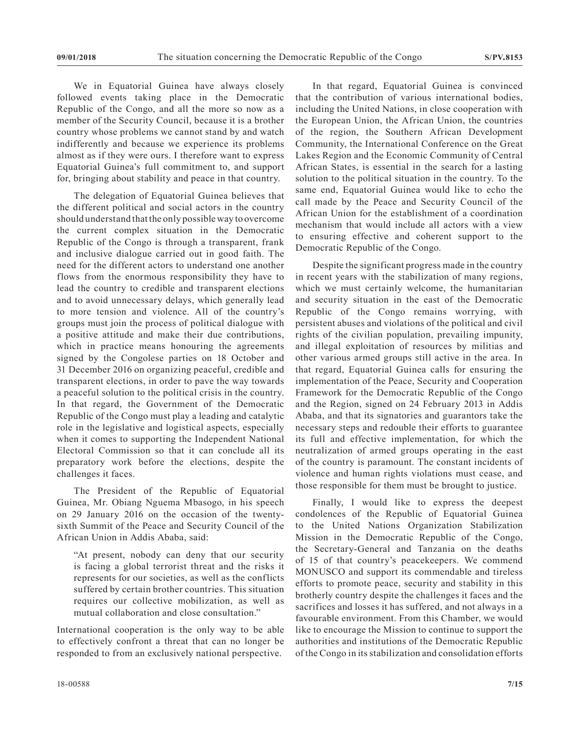We in Equatorial Guinea have always closely followed events taking place in the Democratic Republic of the Congo, and all the more so now as a member of the Security Council, because it is a brother country whose problems we cannot stand by and watch indifferently and because we experience its problems almost as if they were ours. I therefore want to express Equatorial Guinea's full commitment to, and support for, bringing about stability and peace in that country.

The delegation of Equatorial Guinea believes that the different political and social actors in the country should understand that the only possible way to overcome the current complex situation in the Democratic Republic of the Congo is through a transparent, frank and inclusive dialogue carried out in good faith. The need for the different actors to understand one another flows from the enormous responsibility they have to lead the country to credible and transparent elections and to avoid unnecessary delays, which generally lead to more tension and violence. All of the country's groups must join the process of political dialogue with a positive attitude and make their due contributions, which in practice means honouring the agreements signed by the Congolese parties on 18 October and 31 December 2016 on organizing peaceful, credible and transparent elections, in order to pave the way towards a peaceful solution to the political crisis in the country. In that regard, the Government of the Democratic Republic of the Congo must play a leading and catalytic role in the legislative and logistical aspects, especially when it comes to supporting the Independent National Electoral Commission so that it can conclude all its preparatory work before the elections, despite the challenges it faces.

The President of the Republic of Equatorial Guinea, Mr. Obiang Nguema Mbasogo, in his speech on 29 January 2016 on the occasion of the twentysixth Summit of the Peace and Security Council of the African Union in Addis Ababa, said:

"At present, nobody can deny that our security is facing a global terrorist threat and the risks it represents for our societies, as well as the conflicts suffered by certain brother countries. This situation requires our collective mobilization, as well as mutual collaboration and close consultation."

International cooperation is the only way to be able to effectively confront a threat that can no longer be responded to from an exclusively national perspective.

In that regard, Equatorial Guinea is convinced that the contribution of various international bodies, including the United Nations, in close cooperation with the European Union, the African Union, the countries of the region, the Southern African Development Community, the International Conference on the Great Lakes Region and the Economic Community of Central African States, is essential in the search for a lasting solution to the political situation in the country. To the same end, Equatorial Guinea would like to echo the call made by the Peace and Security Council of the African Union for the establishment of a coordination mechanism that would include all actors with a view to ensuring effective and coherent support to the Democratic Republic of the Congo.

Despite the significant progress made in the country in recent years with the stabilization of many regions, which we must certainly welcome, the humanitarian and security situation in the east of the Democratic Republic of the Congo remains worrying, with persistent abuses and violations of the political and civil rights of the civilian population, prevailing impunity, and illegal exploitation of resources by militias and other various armed groups still active in the area. In that regard, Equatorial Guinea calls for ensuring the implementation of the Peace, Security and Cooperation Framework for the Democratic Republic of the Congo and the Region, signed on 24 February 2013 in Addis Ababa, and that its signatories and guarantors take the necessary steps and redouble their efforts to guarantee its full and effective implementation, for which the neutralization of armed groups operating in the east of the country is paramount. The constant incidents of violence and human rights violations must cease, and those responsible for them must be brought to justice.

Finally, I would like to express the deepest condolences of the Republic of Equatorial Guinea to the United Nations Organization Stabilization Mission in the Democratic Republic of the Congo, the Secretary-General and Tanzania on the deaths of 15 of that country's peacekeepers. We commend MONUSCO and support its commendable and tireless efforts to promote peace, security and stability in this brotherly country despite the challenges it faces and the sacrifices and losses it has suffered, and not always in a favourable environment. From this Chamber, we would like to encourage the Mission to continue to support the authorities and institutions of the Democratic Republic of the Congo in its stabilization and consolidation efforts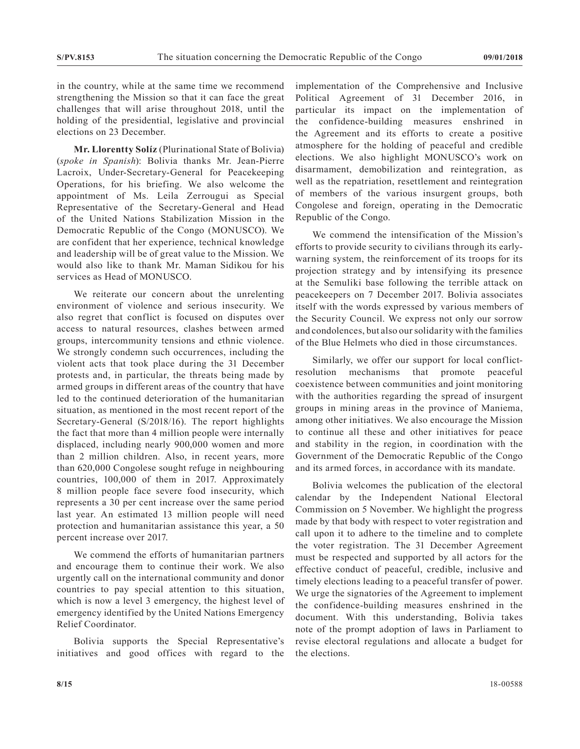in the country, while at the same time we recommend strengthening the Mission so that it can face the great challenges that will arise throughout 2018, until the holding of the presidential, legislative and provincial elections on 23 December.

**Mr. Llorentty Solíz** (Plurinational State of Bolivia) (*spoke in Spanish*): Bolivia thanks Mr. Jean-Pierre Lacroix, Under-Secretary-General for Peacekeeping Operations, for his briefing. We also welcome the appointment of Ms. Leila Zerrougui as Special Representative of the Secretary-General and Head of the United Nations Stabilization Mission in the Democratic Republic of the Congo (MONUSCO). We are confident that her experience, technical knowledge and leadership will be of great value to the Mission. We would also like to thank Mr. Maman Sidikou for his services as Head of MONUSCO.

We reiterate our concern about the unrelenting environment of violence and serious insecurity. We also regret that conflict is focused on disputes over access to natural resources, clashes between armed groups, intercommunity tensions and ethnic violence. We strongly condemn such occurrences, including the violent acts that took place during the 31 December protests and, in particular, the threats being made by armed groups in different areas of the country that have led to the continued deterioration of the humanitarian situation, as mentioned in the most recent report of the Secretary-General (S/2018/16). The report highlights the fact that more than 4 million people were internally displaced, including nearly 900,000 women and more than 2 million children. Also, in recent years, more than 620,000 Congolese sought refuge in neighbouring countries, 100,000 of them in 2017. Approximately 8 million people face severe food insecurity, which represents a 30 per cent increase over the same period last year. An estimated 13 million people will need protection and humanitarian assistance this year, a 50 percent increase over 2017.

We commend the efforts of humanitarian partners and encourage them to continue their work. We also urgently call on the international community and donor countries to pay special attention to this situation, which is now a level 3 emergency, the highest level of emergency identified by the United Nations Emergency Relief Coordinator.

Bolivia supports the Special Representative's initiatives and good offices with regard to the implementation of the Comprehensive and Inclusive Political Agreement of 31 December 2016, in particular its impact on the implementation of the confidence-building measures enshrined in the Agreement and its efforts to create a positive atmosphere for the holding of peaceful and credible elections. We also highlight MONUSCO's work on disarmament, demobilization and reintegration, as well as the repatriation, resettlement and reintegration of members of the various insurgent groups, both Congolese and foreign, operating in the Democratic Republic of the Congo.

We commend the intensification of the Mission's efforts to provide security to civilians through its earlywarning system, the reinforcement of its troops for its projection strategy and by intensifying its presence at the Semuliki base following the terrible attack on peacekeepers on 7 December 2017. Bolivia associates itself with the words expressed by various members of the Security Council. We express not only our sorrow and condolences, but also our solidarity with the families of the Blue Helmets who died in those circumstances.

Similarly, we offer our support for local conflictresolution mechanisms that promote peaceful coexistence between communities and joint monitoring with the authorities regarding the spread of insurgent groups in mining areas in the province of Maniema, among other initiatives. We also encourage the Mission to continue all these and other initiatives for peace and stability in the region, in coordination with the Government of the Democratic Republic of the Congo and its armed forces, in accordance with its mandate.

Bolivia welcomes the publication of the electoral calendar by the Independent National Electoral Commission on 5 November. We highlight the progress made by that body with respect to voter registration and call upon it to adhere to the timeline and to complete the voter registration. The 31 December Agreement must be respected and supported by all actors for the effective conduct of peaceful, credible, inclusive and timely elections leading to a peaceful transfer of power. We urge the signatories of the Agreement to implement the confidence-building measures enshrined in the document. With this understanding, Bolivia takes note of the prompt adoption of laws in Parliament to revise electoral regulations and allocate a budget for the elections.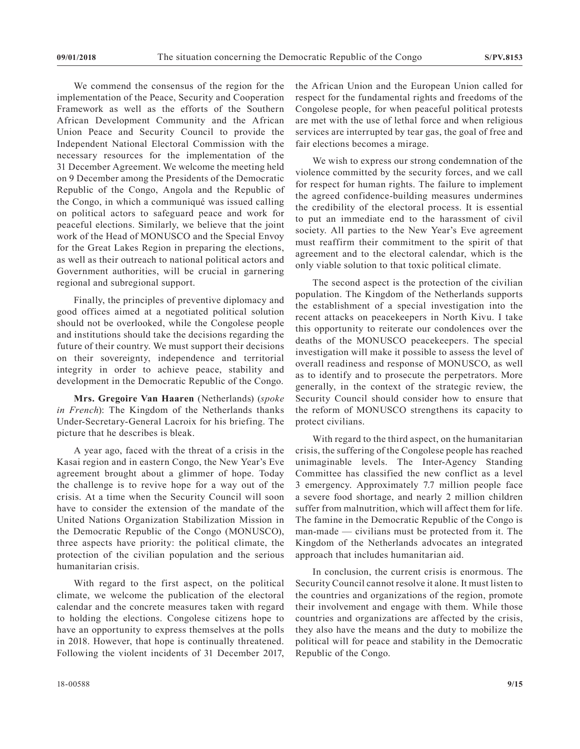We commend the consensus of the region for the implementation of the Peace, Security and Cooperation Framework as well as the efforts of the Southern African Development Community and the African Union Peace and Security Council to provide the Independent National Electoral Commission with the necessary resources for the implementation of the 31 December Agreement. We welcome the meeting held on 9 December among the Presidents of the Democratic Republic of the Congo, Angola and the Republic of the Congo, in which a communiqué was issued calling on political actors to safeguard peace and work for peaceful elections. Similarly, we believe that the joint work of the Head of MONUSCO and the Special Envoy for the Great Lakes Region in preparing the elections, as well as their outreach to national political actors and Government authorities, will be crucial in garnering regional and subregional support.

Finally, the principles of preventive diplomacy and good offices aimed at a negotiated political solution should not be overlooked, while the Congolese people and institutions should take the decisions regarding the future of their country. We must support their decisions on their sovereignty, independence and territorial integrity in order to achieve peace, stability and development in the Democratic Republic of the Congo.

**Mrs. Gregoire Van Haaren** (Netherlands) (*spoke in French*): The Kingdom of the Netherlands thanks Under-Secretary-General Lacroix for his briefing. The picture that he describes is bleak.

A year ago, faced with the threat of a crisis in the Kasai region and in eastern Congo, the New Year's Eve agreement brought about a glimmer of hope. Today the challenge is to revive hope for a way out of the crisis. At a time when the Security Council will soon have to consider the extension of the mandate of the United Nations Organization Stabilization Mission in the Democratic Republic of the Congo (MONUSCO), three aspects have priority: the political climate, the protection of the civilian population and the serious humanitarian crisis.

With regard to the first aspect, on the political climate, we welcome the publication of the electoral calendar and the concrete measures taken with regard to holding the elections. Congolese citizens hope to have an opportunity to express themselves at the polls in 2018. However, that hope is continually threatened. Following the violent incidents of 31 December 2017, the African Union and the European Union called for respect for the fundamental rights and freedoms of the Congolese people, for when peaceful political protests are met with the use of lethal force and when religious services are interrupted by tear gas, the goal of free and fair elections becomes a mirage.

We wish to express our strong condemnation of the violence committed by the security forces, and we call for respect for human rights. The failure to implement the agreed confidence-building measures undermines the credibility of the electoral process. It is essential to put an immediate end to the harassment of civil society. All parties to the New Year's Eve agreement must reaffirm their commitment to the spirit of that agreement and to the electoral calendar, which is the only viable solution to that toxic political climate.

The second aspect is the protection of the civilian population. The Kingdom of the Netherlands supports the establishment of a special investigation into the recent attacks on peacekeepers in North Kivu. I take this opportunity to reiterate our condolences over the deaths of the MONUSCO peacekeepers. The special investigation will make it possible to assess the level of overall readiness and response of MONUSCO, as well as to identify and to prosecute the perpetrators. More generally, in the context of the strategic review, the Security Council should consider how to ensure that the reform of MONUSCO strengthens its capacity to protect civilians.

With regard to the third aspect, on the humanitarian crisis, the suffering of the Congolese people has reached unimaginable levels. The Inter-Agency Standing Committee has classified the new conflict as a level 3 emergency. Approximately 7.7 million people face a severe food shortage, and nearly 2 million children suffer from malnutrition, which will affect them for life. The famine in the Democratic Republic of the Congo is man-made — civilians must be protected from it. The Kingdom of the Netherlands advocates an integrated approach that includes humanitarian aid.

In conclusion, the current crisis is enormous. The Security Council cannot resolve it alone. It must listen to the countries and organizations of the region, promote their involvement and engage with them. While those countries and organizations are affected by the crisis, they also have the means and the duty to mobilize the political will for peace and stability in the Democratic Republic of the Congo.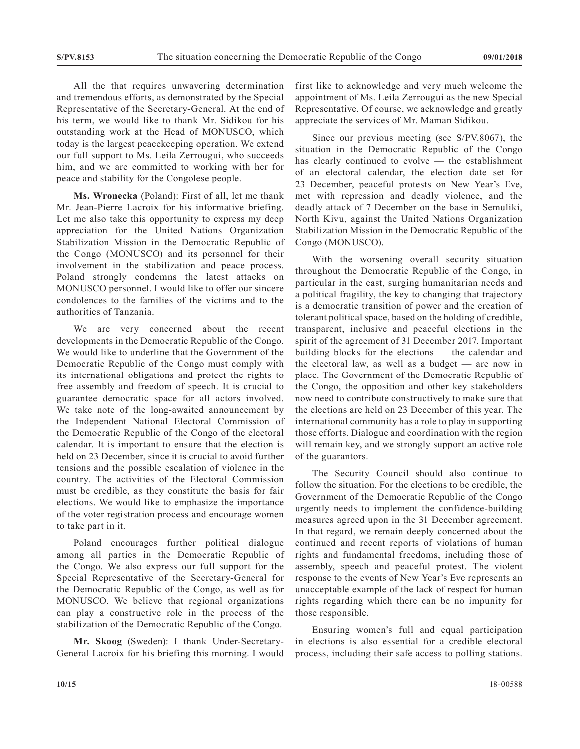All the that requires unwavering determination and tremendous efforts, as demonstrated by the Special Representative of the Secretary-General. At the end of his term, we would like to thank Mr. Sidikou for his outstanding work at the Head of MONUSCO, which today is the largest peacekeeping operation. We extend our full support to Ms. Leila Zerrougui, who succeeds him, and we are committed to working with her for peace and stability for the Congolese people.

**Ms. Wronecka** (Poland): First of all, let me thank Mr. Jean-Pierre Lacroix for his informative briefing. Let me also take this opportunity to express my deep appreciation for the United Nations Organization Stabilization Mission in the Democratic Republic of the Congo (MONUSCO) and its personnel for their involvement in the stabilization and peace process. Poland strongly condemns the latest attacks on MONUSCO personnel. I would like to offer our sincere condolences to the families of the victims and to the authorities of Tanzania.

We are very concerned about the recent developments in the Democratic Republic of the Congo. We would like to underline that the Government of the Democratic Republic of the Congo must comply with its international obligations and protect the rights to free assembly and freedom of speech. It is crucial to guarantee democratic space for all actors involved. We take note of the long-awaited announcement by the Independent National Electoral Commission of the Democratic Republic of the Congo of the electoral calendar. It is important to ensure that the election is held on 23 December, since it is crucial to avoid further tensions and the possible escalation of violence in the country. The activities of the Electoral Commission must be credible, as they constitute the basis for fair elections. We would like to emphasize the importance of the voter registration process and encourage women to take part in it.

Poland encourages further political dialogue among all parties in the Democratic Republic of the Congo. We also express our full support for the Special Representative of the Secretary-General for the Democratic Republic of the Congo, as well as for MONUSCO. We believe that regional organizations can play a constructive role in the process of the stabilization of the Democratic Republic of the Congo.

**Mr. Skoog** (Sweden): I thank Under-Secretary-General Lacroix for his briefing this morning. I would first like to acknowledge and very much welcome the appointment of Ms. Leila Zerrougui as the new Special Representative. Of course, we acknowledge and greatly appreciate the services of Mr. Maman Sidikou.

Since our previous meeting (see S/PV.8067), the situation in the Democratic Republic of the Congo has clearly continued to evolve — the establishment of an electoral calendar, the election date set for 23 December, peaceful protests on New Year's Eve, met with repression and deadly violence, and the deadly attack of 7 December on the base in Semuliki, North Kivu, against the United Nations Organization Stabilization Mission in the Democratic Republic of the Congo (MONUSCO).

With the worsening overall security situation throughout the Democratic Republic of the Congo, in particular in the east, surging humanitarian needs and a political fragility, the key to changing that trajectory is a democratic transition of power and the creation of tolerant political space, based on the holding of credible, transparent, inclusive and peaceful elections in the spirit of the agreement of 31 December 2017. Important building blocks for the elections — the calendar and the electoral law, as well as a budget — are now in place. The Government of the Democratic Republic of the Congo, the opposition and other key stakeholders now need to contribute constructively to make sure that the elections are held on 23 December of this year. The international community has a role to play in supporting those efforts. Dialogue and coordination with the region will remain key, and we strongly support an active role of the guarantors.

The Security Council should also continue to follow the situation. For the elections to be credible, the Government of the Democratic Republic of the Congo urgently needs to implement the confidence-building measures agreed upon in the 31 December agreement. In that regard, we remain deeply concerned about the continued and recent reports of violations of human rights and fundamental freedoms, including those of assembly, speech and peaceful protest. The violent response to the events of New Year's Eve represents an unacceptable example of the lack of respect for human rights regarding which there can be no impunity for those responsible.

Ensuring women's full and equal participation in elections is also essential for a credible electoral process, including their safe access to polling stations.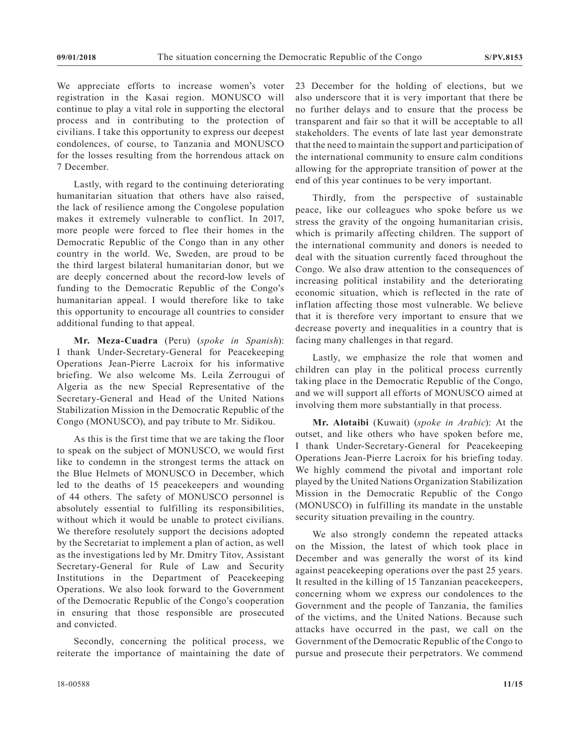We appreciate efforts to increase women's voter registration in the Kasai region. MONUSCO will continue to play a vital role in supporting the electoral process and in contributing to the protection of civilians. I take this opportunity to express our deepest condolences, of course, to Tanzania and MONUSCO for the losses resulting from the horrendous attack on 7 December.

Lastly, with regard to the continuing deteriorating humanitarian situation that others have also raised, the lack of resilience among the Congolese population makes it extremely vulnerable to conflict. In 2017, more people were forced to flee their homes in the Democratic Republic of the Congo than in any other country in the world. We, Sweden, are proud to be the third largest bilateral humanitarian donor, but we are deeply concerned about the record-low levels of funding to the Democratic Republic of the Congo's humanitarian appeal. I would therefore like to take this opportunity to encourage all countries to consider additional funding to that appeal.

**Mr. Meza-Cuadra** (Peru) (*spoke in Spanish*): I thank Under-Secretary-General for Peacekeeping Operations Jean-Pierre Lacroix for his informative briefing. We also welcome Ms. Leila Zerrougui of Algeria as the new Special Representative of the Secretary-General and Head of the United Nations Stabilization Mission in the Democratic Republic of the Congo (MONUSCO), and pay tribute to Mr. Sidikou.

As this is the first time that we are taking the floor to speak on the subject of MONUSCO, we would first like to condemn in the strongest terms the attack on the Blue Helmets of MONUSCO in December, which led to the deaths of 15 peacekeepers and wounding of 44 others. The safety of MONUSCO personnel is absolutely essential to fulfilling its responsibilities, without which it would be unable to protect civilians. We therefore resolutely support the decisions adopted by the Secretariat to implement a plan of action, as well as the investigations led by Mr. Dmitry Titov, Assistant Secretary-General for Rule of Law and Security Institutions in the Department of Peacekeeping Operations. We also look forward to the Government of the Democratic Republic of the Congo's cooperation in ensuring that those responsible are prosecuted and convicted.

Secondly, concerning the political process, we reiterate the importance of maintaining the date of 23 December for the holding of elections, but we also underscore that it is very important that there be no further delays and to ensure that the process be transparent and fair so that it will be acceptable to all stakeholders. The events of late last year demonstrate that the need to maintain the support and participation of the international community to ensure calm conditions allowing for the appropriate transition of power at the end of this year continues to be very important.

Thirdly, from the perspective of sustainable peace, like our colleagues who spoke before us we stress the gravity of the ongoing humanitarian crisis, which is primarily affecting children. The support of the international community and donors is needed to deal with the situation currently faced throughout the Congo. We also draw attention to the consequences of increasing political instability and the deteriorating economic situation, which is reflected in the rate of inflation affecting those most vulnerable. We believe that it is therefore very important to ensure that we decrease poverty and inequalities in a country that is facing many challenges in that regard.

Lastly, we emphasize the role that women and children can play in the political process currently taking place in the Democratic Republic of the Congo, and we will support all efforts of MONUSCO aimed at involving them more substantially in that process.

**Mr. Alotaibi** (Kuwait) (*spoke in Arabic*): At the outset, and like others who have spoken before me, I thank Under-Secretary-General for Peacekeeping Operations Jean-Pierre Lacroix for his briefing today. We highly commend the pivotal and important role played by the United Nations Organization Stabilization Mission in the Democratic Republic of the Congo (MONUSCO) in fulfilling its mandate in the unstable security situation prevailing in the country.

We also strongly condemn the repeated attacks on the Mission, the latest of which took place in December and was generally the worst of its kind against peacekeeping operations over the past 25 years. It resulted in the killing of 15 Tanzanian peacekeepers, concerning whom we express our condolences to the Government and the people of Tanzania, the families of the victims, and the United Nations. Because such attacks have occurred in the past, we call on the Government of the Democratic Republic of the Congo to pursue and prosecute their perpetrators. We commend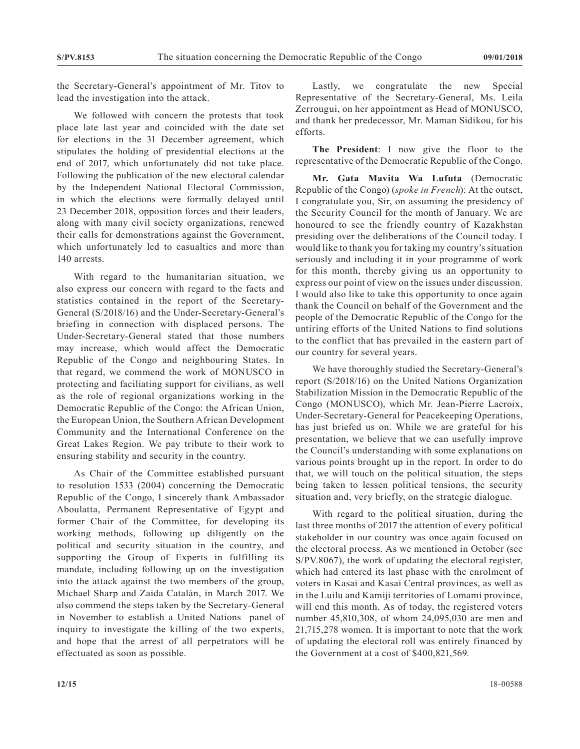the Secretary-General's appointment of Mr. Titov to lead the investigation into the attack.

We followed with concern the protests that took place late last year and coincided with the date set for elections in the 31 December agreement, which stipulates the holding of presidential elections at the end of 2017, which unfortunately did not take place. Following the publication of the new electoral calendar by the Independent National Electoral Commission, in which the elections were formally delayed until 23 December 2018, opposition forces and their leaders, along with many civil society organizations, renewed their calls for demonstrations against the Government, which unfortunately led to casualties and more than 140 arrests.

With regard to the humanitarian situation, we also express our concern with regard to the facts and statistics contained in the report of the Secretary-General (S/2018/16) and the Under-Secretary-General's briefing in connection with displaced persons. The Under-Secretary-General stated that those numbers may increase, which would affect the Democratic Republic of the Congo and neighbouring States. In that regard, we commend the work of MONUSCO in protecting and faciliating support for civilians, as well as the role of regional organizations working in the Democratic Republic of the Congo: the African Union, the European Union, the Southern African Development Community and the International Conference on the Great Lakes Region. We pay tribute to their work to ensuring stability and security in the country.

As Chair of the Committee established pursuant to resolution 1533 (2004) concerning the Democratic Republic of the Congo, I sincerely thank Ambassador Aboulatta, Permanent Representative of Egypt and former Chair of the Committee, for developing its working methods, following up diligently on the political and security situation in the country, and supporting the Group of Experts in fulfilling its mandate, including following up on the investigation into the attack against the two members of the group, Michael Sharp and Zaida Catalán, in March 2017. We also commend the steps taken by the Secretary-General in November to establish a United Nations panel of inquiry to investigate the killing of the two experts, and hope that the arrest of all perpetrators will be effectuated as soon as possible.

Lastly, we congratulate the new Special Representative of the Secretary-General, Ms. Leila Zerrougui, on her appointment as Head of MONUSCO, and thank her predecessor, Mr. Maman Sidikou, for his efforts.

**The President**: I now give the floor to the representative of the Democratic Republic of the Congo.

**Mr. Gata Mavita Wa Lufuta** (Democratic Republic of the Congo) (*spoke in French*): At the outset, I congratulate you, Sir, on assuming the presidency of the Security Council for the month of January. We are honoured to see the friendly country of Kazakhstan presiding over the deliberations of the Council today. I would like to thank you for taking my country's situation seriously and including it in your programme of work for this month, thereby giving us an opportunity to express our point of view on the issues under discussion. I would also like to take this opportunity to once again thank the Council on behalf of the Government and the people of the Democratic Republic of the Congo for the untiring efforts of the United Nations to find solutions to the conflict that has prevailed in the eastern part of our country for several years.

We have thoroughly studied the Secretary-General's report (S/2018/16) on the United Nations Organization Stabilization Mission in the Democratic Republic of the Congo (MONUSCO), which Mr. Jean-Pierre Lacroix, Under-Secretary-General for Peacekeeping Operations, has just briefed us on. While we are grateful for his presentation, we believe that we can usefully improve the Council's understanding with some explanations on various points brought up in the report. In order to do that, we will touch on the political situation, the steps being taken to lessen political tensions, the security situation and, very briefly, on the strategic dialogue.

With regard to the political situation, during the last three months of 2017 the attention of every political stakeholder in our country was once again focused on the electoral process. As we mentioned in October (see S/PV.8067), the work of updating the electoral register, which had entered its last phase with the enrolment of voters in Kasai and Kasai Central provinces, as well as in the Luilu and Kamiji territories of Lomami province, will end this month. As of today, the registered voters number 45,810,308, of whom 24,095,030 are men and 21,715,278 women. It is important to note that the work of updating the electoral roll was entirely financed by the Government at a cost of \$400,821,569.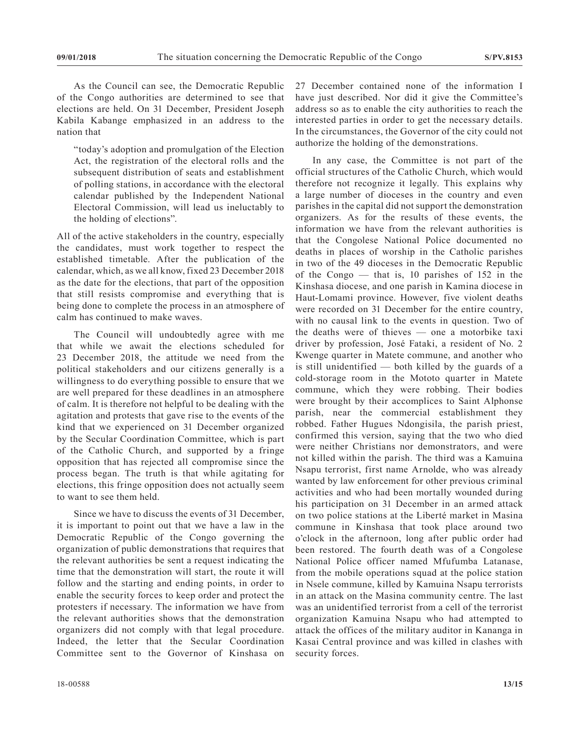As the Council can see, the Democratic Republic of the Congo authorities are determined to see that elections are held. On 31 December, President Joseph Kabila Kabange emphasized in an address to the nation that

"today's adoption and promulgation of the Election Act, the registration of the electoral rolls and the subsequent distribution of seats and establishment of polling stations, in accordance with the electoral calendar published by the Independent National Electoral Commission, will lead us ineluctably to the holding of elections".

All of the active stakeholders in the country, especially the candidates, must work together to respect the established timetable. After the publication of the calendar, which, as we all know, fixed 23 December 2018 as the date for the elections, that part of the opposition that still resists compromise and everything that is being done to complete the process in an atmosphere of calm has continued to make waves.

The Council will undoubtedly agree with me that while we await the elections scheduled for 23 December 2018, the attitude we need from the political stakeholders and our citizens generally is a willingness to do everything possible to ensure that we are well prepared for these deadlines in an atmosphere of calm. It is therefore not helpful to be dealing with the agitation and protests that gave rise to the events of the kind that we experienced on 31 December organized by the Secular Coordination Committee, which is part of the Catholic Church, and supported by a fringe opposition that has rejected all compromise since the process began. The truth is that while agitating for elections, this fringe opposition does not actually seem to want to see them held.

Since we have to discuss the events of 31 December, it is important to point out that we have a law in the Democratic Republic of the Congo governing the organization of public demonstrations that requires that the relevant authorities be sent a request indicating the time that the demonstration will start, the route it will follow and the starting and ending points, in order to enable the security forces to keep order and protect the protesters if necessary. The information we have from the relevant authorities shows that the demonstration organizers did not comply with that legal procedure. Indeed, the letter that the Secular Coordination Committee sent to the Governor of Kinshasa on

27 December contained none of the information I have just described. Nor did it give the Committee's address so as to enable the city authorities to reach the interested parties in order to get the necessary details. In the circumstances, the Governor of the city could not authorize the holding of the demonstrations.

In any case, the Committee is not part of the official structures of the Catholic Church, which would therefore not recognize it legally. This explains why a large number of dioceses in the country and even parishes in the capital did not support the demonstration organizers. As for the results of these events, the information we have from the relevant authorities is that the Congolese National Police documented no deaths in places of worship in the Catholic parishes in two of the 49 dioceses in the Democratic Republic of the Congo — that is, 10 parishes of 152 in the Kinshasa diocese, and one parish in Kamina diocese in Haut-Lomami province. However, five violent deaths were recorded on 31 December for the entire country, with no causal link to the events in question. Two of the deaths were of thieves — one a motorbike taxi driver by profession, José Fataki, a resident of No. 2 Kwenge quarter in Matete commune, and another who is still unidentified — both killed by the guards of a cold-storage room in the Mototo quarter in Matete commune, which they were robbing. Their bodies were brought by their accomplices to Saint Alphonse parish, near the commercial establishment they robbed. Father Hugues Ndongisila, the parish priest, confirmed this version, saying that the two who died were neither Christians nor demonstrators, and were not killed within the parish. The third was a Kamuina Nsapu terrorist, first name Arnolde, who was already wanted by law enforcement for other previous criminal activities and who had been mortally wounded during his participation on 31 December in an armed attack on two police stations at the Liberté market in Masina commune in Kinshasa that took place around two o'clock in the afternoon, long after public order had been restored. The fourth death was of a Congolese National Police officer named Mfufumba Latanase, from the mobile operations squad at the police station in Nsele commune, killed by Kamuina Nsapu terrorists in an attack on the Masina community centre. The last was an unidentified terrorist from a cell of the terrorist organization Kamuina Nsapu who had attempted to attack the offices of the military auditor in Kananga in Kasai Central province and was killed in clashes with security forces.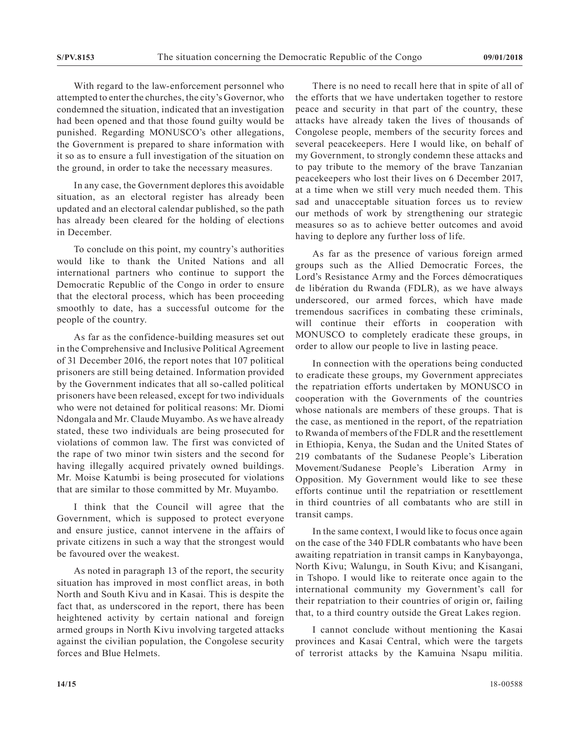With regard to the law-enforcement personnel who attempted to enter the churches, the city's Governor, who condemned the situation, indicated that an investigation had been opened and that those found guilty would be punished. Regarding MONUSCO's other allegations, the Government is prepared to share information with it so as to ensure a full investigation of the situation on the ground, in order to take the necessary measures.

In any case, the Government deplores this avoidable situation, as an electoral register has already been updated and an electoral calendar published, so the path has already been cleared for the holding of elections in December.

To conclude on this point, my country's authorities would like to thank the United Nations and all international partners who continue to support the Democratic Republic of the Congo in order to ensure that the electoral process, which has been proceeding smoothly to date, has a successful outcome for the people of the country.

As far as the confidence-building measures set out in the Comprehensive and Inclusive Political Agreement of 31 December 2016, the report notes that 107 political prisoners are still being detained. Information provided by the Government indicates that all so-called political prisoners have been released, except for two individuals who were not detained for political reasons: Mr. Diomi Ndongala and Mr. Claude Muyambo. As we have already stated, these two individuals are being prosecuted for violations of common law. The first was convicted of the rape of two minor twin sisters and the second for having illegally acquired privately owned buildings. Mr. Moise Katumbi is being prosecuted for violations that are similar to those committed by Mr. Muyambo.

I think that the Council will agree that the Government, which is supposed to protect everyone and ensure justice, cannot intervene in the affairs of private citizens in such a way that the strongest would be favoured over the weakest.

As noted in paragraph 13 of the report, the security situation has improved in most conflict areas, in both North and South Kivu and in Kasai. This is despite the fact that, as underscored in the report, there has been heightened activity by certain national and foreign armed groups in North Kivu involving targeted attacks against the civilian population, the Congolese security forces and Blue Helmets.

There is no need to recall here that in spite of all of the efforts that we have undertaken together to restore peace and security in that part of the country, these attacks have already taken the lives of thousands of Congolese people, members of the security forces and several peacekeepers. Here I would like, on behalf of my Government, to strongly condemn these attacks and to pay tribute to the memory of the brave Tanzanian peacekeepers who lost their lives on 6 December 2017, at a time when we still very much needed them. This sad and unacceptable situation forces us to review our methods of work by strengthening our strategic measures so as to achieve better outcomes and avoid having to deplore any further loss of life.

As far as the presence of various foreign armed groups such as the Allied Democratic Forces, the Lord's Resistance Army and the Forces démocratiques de libération du Rwanda (FDLR), as we have always underscored, our armed forces, which have made tremendous sacrifices in combating these criminals, will continue their efforts in cooperation with MONUSCO to completely eradicate these groups, in order to allow our people to live in lasting peace.

In connection with the operations being conducted to eradicate these groups, my Government appreciates the repatriation efforts undertaken by MONUSCO in cooperation with the Governments of the countries whose nationals are members of these groups. That is the case, as mentioned in the report, of the repatriation to Rwanda of members of the FDLR and the resettlement in Ethiopia, Kenya, the Sudan and the United States of 219 combatants of the Sudanese People's Liberation Movement/Sudanese People's Liberation Army in Opposition. My Government would like to see these efforts continue until the repatriation or resettlement in third countries of all combatants who are still in transit camps.

In the same context, I would like to focus once again on the case of the 340 FDLR combatants who have been awaiting repatriation in transit camps in Kanybayonga, North Kivu; Walungu, in South Kivu; and Kisangani, in Tshopo. I would like to reiterate once again to the international community my Government's call for their repatriation to their countries of origin or, failing that, to a third country outside the Great Lakes region.

I cannot conclude without mentioning the Kasai provinces and Kasai Central, which were the targets of terrorist attacks by the Kamuina Nsapu militia.